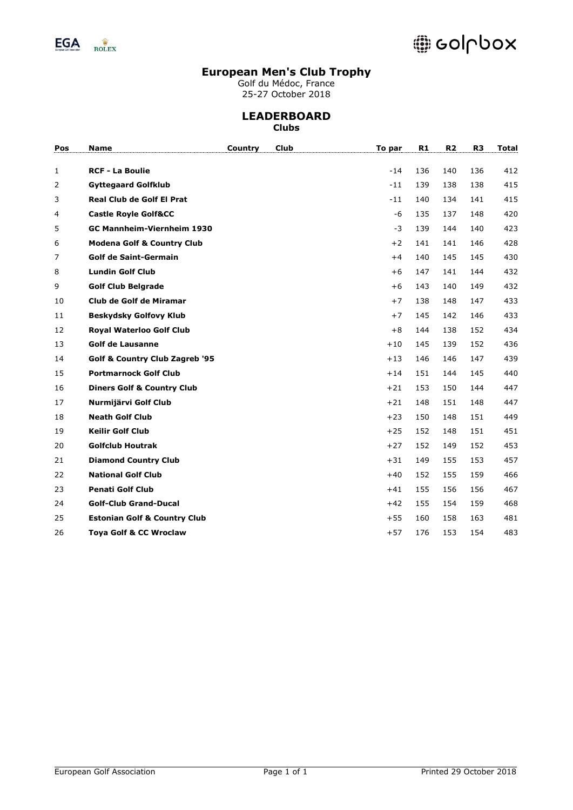

# @ colpbox

## **European Men's Club Trophy**

Golf du Médoc, France 25-27 October 2018

#### **LEADERBOARD Clubs**

| Pos | Name                                    | Country | <b>Club</b> | To par | R1  | R <sub>2</sub> | R <sub>3</sub> | <b>Total</b> |
|-----|-----------------------------------------|---------|-------------|--------|-----|----------------|----------------|--------------|
| 1   | <b>RCF - La Boulie</b>                  |         |             | $-14$  | 136 | 140            | 136            | 412          |
| 2   | <b>Gyttegaard Golfklub</b>              |         |             | $-11$  | 139 | 138            | 138            | 415          |
| 3   | <b>Real Club de Golf El Prat</b>        |         |             | $-11$  | 140 | 134            | 141            | 415          |
| 4   | <b>Castle Royle Golf&amp;CC</b>         |         |             | -6     | 135 | 137            | 148            | 420          |
| 5   | GC Mannheim-Viernheim 1930              |         |             | $-3$   | 139 | 144            | 140            | 423          |
| 6   | <b>Modena Golf &amp; Country Club</b>   |         |             | $+2$   | 141 | 141            | 146            | 428          |
| 7   | <b>Golf de Saint-Germain</b>            |         |             | $+4$   | 140 | 145            | 145            | 430          |
| 8   | <b>Lundin Golf Club</b>                 |         |             | $+6$   | 147 | 141            | 144            | 432          |
| 9   | <b>Golf Club Belgrade</b>               |         |             | $+6$   | 143 | 140            | 149            | 432          |
| 10  | Club de Golf de Miramar                 |         |             | $+7$   | 138 | 148            | 147            | 433          |
| 11  | <b>Beskydsky Golfovy Klub</b>           |         |             | $+7$   | 145 | 142            | 146            | 433          |
| 12  | <b>Royal Waterloo Golf Club</b>         |         |             | $+8$   | 144 | 138            | 152            | 434          |
| 13  | <b>Golf de Lausanne</b>                 |         |             | $+10$  | 145 | 139            | 152            | 436          |
| 14  | Golf & Country Club Zagreb '95          |         |             | $+13$  | 146 | 146            | 147            | 439          |
| 15  | <b>Portmarnock Golf Club</b>            |         |             | $+14$  | 151 | 144            | 145            | 440          |
| 16  | <b>Diners Golf &amp; Country Club</b>   |         |             | $+21$  | 153 | 150            | 144            | 447          |
| 17  | Nurmijärvi Golf Club                    |         |             | $+21$  | 148 | 151            | 148            | 447          |
| 18  | <b>Neath Golf Club</b>                  |         |             | $+23$  | 150 | 148            | 151            | 449          |
| 19  | <b>Keilir Golf Club</b>                 |         |             | $+25$  | 152 | 148            | 151            | 451          |
| 20  | <b>Golfclub Houtrak</b>                 |         |             | $+27$  | 152 | 149            | 152            | 453          |
| 21  | <b>Diamond Country Club</b>             |         |             | $+31$  | 149 | 155            | 153            | 457          |
| 22  | <b>National Golf Club</b>               |         |             | $+40$  | 152 | 155            | 159            | 466          |
| 23  | <b>Penati Golf Club</b>                 |         |             | $+41$  | 155 | 156            | 156            | 467          |
| 24  | <b>Golf-Club Grand-Ducal</b>            |         |             | $+42$  | 155 | 154            | 159            | 468          |
| 25  | <b>Estonian Golf &amp; Country Club</b> |         |             | $+55$  | 160 | 158            | 163            | 481          |
| 26  | <b>Toya Golf &amp; CC Wroclaw</b>       |         |             | $+57$  | 176 | 153            | 154            | 483          |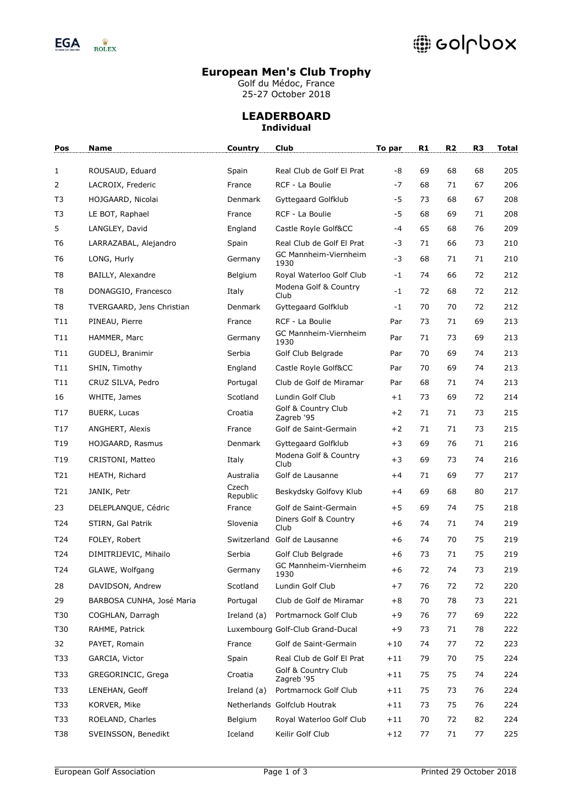

# @ colpbox

### **European Men's Club Trophy**

Golf du Médoc, France 25-27 October 2018

# **LEADERBOARD Individual**

| Pos            | Name                      | Country           | <b>Club</b>                       | To par | R1 | R <sub>2</sub> | R <sub>3</sub> | Total |
|----------------|---------------------------|-------------------|-----------------------------------|--------|----|----------------|----------------|-------|
| 1              | ROUSAUD, Eduard           | Spain             | Real Club de Golf El Prat         | -8     | 69 | 68             | 68             | 205   |
| 2              | LACROIX, Frederic         | France            | RCF - La Boulie                   | $-7$   | 68 | 71             | 67             | 206   |
| T3             | HOJGAARD, Nicolai         | <b>Denmark</b>    | Gyttegaard Golfklub               | -5     | 73 | 68             | 67             | 208   |
| T3             | LE BOT, Raphael           | France            | RCF - La Boulie                   | -5     | 68 | 69             | 71             | 208   |
| 5              | LANGLEY, David            | England           | Castle Royle Golf&CC              | $-4$   | 65 | 68             | 76             | 209   |
| T <sub>6</sub> | LARRAZABAL, Alejandro     | Spain             | Real Club de Golf El Prat         | -3     | 71 | 66             | 73             | 210   |
| T <sub>6</sub> | LONG, Hurly               | Germany           | GC Mannheim-Viernheim<br>1930     | $-3$   | 68 | 71             | 71             | 210   |
| T8             | BAILLY, Alexandre         | Belgium           | Royal Waterloo Golf Club          | $-1$   | 74 | 66             | 72             | 212   |
| T <sub>8</sub> | DONAGGIO, Francesco       | Italy             | Modena Golf & Country<br>Club     | $-1$   | 72 | 68             | 72             | 212   |
| T8             | TVERGAARD, Jens Christian | Denmark           | Gyttegaard Golfklub               | $-1$   | 70 | 70             | 72             | 212   |
| T11            | PINEAU, Pierre            | France            | RCF - La Boulie                   | Par    | 73 | 71             | 69             | 213   |
| T11            | HAMMER, Marc              | Germany           | GC Mannheim-Viernheim<br>1930     | Par    | 71 | 73             | 69             | 213   |
| T11            | GUDELJ, Branimir          | Serbia            | Golf Club Belgrade                | Par    | 70 | 69             | 74             | 213   |
| T11            | SHIN, Timothy             | England           | Castle Royle Golf&CC              | Par    | 70 | 69             | 74             | 213   |
| T11            | CRUZ SILVA, Pedro         | Portugal          | Club de Golf de Miramar           | Par    | 68 | 71             | 74             | 213   |
| 16             | WHITE, James              | Scotland          | Lundin Golf Club                  | $+1$   | 73 | 69             | 72             | 214   |
| T17            | BUERK, Lucas              | Croatia           | Golf & Country Club<br>Zagreb '95 | $+2$   | 71 | 71             | 73             | 215   |
| T17            | ANGHERT, Alexis           | France            | Golf de Saint-Germain             | $+2$   | 71 | 71             | 73             | 215   |
| T19            | HOJGAARD, Rasmus          | Denmark           | Gyttegaard Golfklub               | $+3$   | 69 | 76             | 71             | 216   |
| T19            | CRISTONI, Matteo          | Italy             | Modena Golf & Country<br>Club     | $+3$   | 69 | 73             | 74             | 216   |
| T21            | HEATH, Richard            | Australia         | Golf de Lausanne                  | $+4$   | 71 | 69             | 77             | 217   |
| T21            | JANIK, Petr               | Czech<br>Republic | Beskydsky Golfovy Klub            | $+4$   | 69 | 68             | 80             | 217   |
| 23             | DELEPLANQUE, Cédric       | France            | Golf de Saint-Germain             | $+5$   | 69 | 74             | 75             | 218   |
| T24            | STIRN, Gal Patrik         | Slovenia          | Diners Golf & Country<br>Club     | $+6$   | 74 | 71             | 74             | 219   |
| T24            | FOLEY, Robert             | Switzerland       | Golf de Lausanne                  | $+6$   | 74 | 70             | 75             | 219   |
| T24            | DIMITRIJEVIC, Mihailo     | Serbia            | Golf Club Belgrade                | +6     | 73 | 71             | 75             | 219   |
| T24            | GLAWE, Wolfgang           | Germany           | GC Mannheim-Viernheim<br>1930     | $+6$   | 72 | 74             | 73             | 219   |
| 28             | DAVIDSON, Andrew          | Scotland          | Lundin Golf Club                  | $+7$   | 76 | 72             | 72             | 220   |
| 29             | BARBOSA CUNHA, José Maria | Portugal          | Club de Golf de Miramar           | $+8$   | 70 | 78             | 73             | 221   |
| T30            | COGHLAN, Darragh          | Ireland $(a)$     | Portmarnock Golf Club             | +9     | 76 | 77             | 69             | 222   |
| T30            | RAHME, Patrick            |                   | Luxembourg Golf-Club Grand-Ducal  | +9     | 73 | 71             | 78             | 222   |
| 32             | PAYET, Romain             | France            | Golf de Saint-Germain             | $+10$  | 74 | 77             | 72             | 223   |
| T33            | GARCIA, Victor            | Spain             | Real Club de Golf El Prat         | $+11$  | 79 | 70             | 75             | 224   |
| T33            | GREGORINCIC, Grega        | Croatia           | Golf & Country Club<br>Zagreb '95 | $+11$  | 75 | 75             | 74             | 224   |
| T33            | LENEHAN, Geoff            | Ireland (a)       | Portmarnock Golf Club             | $+11$  | 75 | 73             | 76             | 224   |
| T33            | KORVER, Mike              |                   | Netherlands Golfclub Houtrak      | $+11$  | 73 | 75             | 76             | 224   |
| T33            | ROELAND, Charles          | Belgium           | Royal Waterloo Golf Club          | $+11$  | 70 | 72             | 82             | 224   |
| <b>T38</b>     | SVEINSSON, Benedikt       | Iceland           | Keilir Golf Club                  | $+12$  | 77 | 71             | 77             | 225   |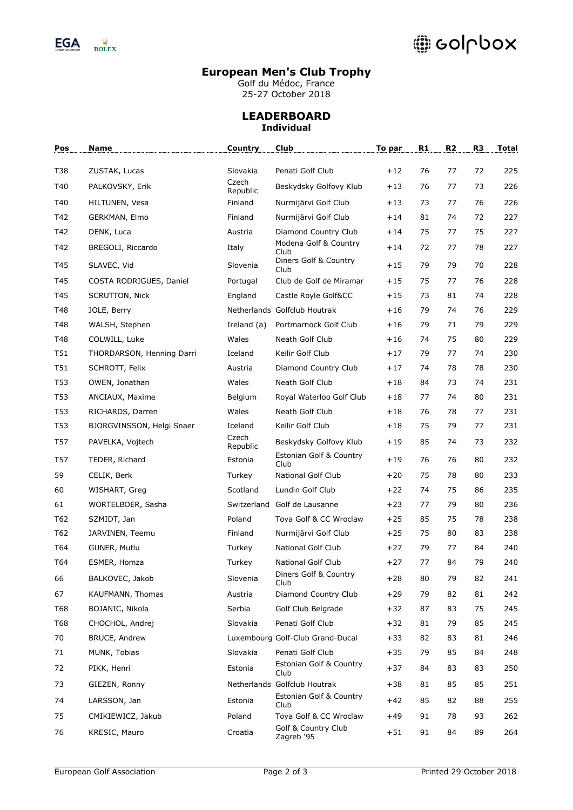

# @ colpbox

### **European Men's Club Trophy**

Golf du Médoc, France 25-27 October 2018

## **LEADERBOARD Individual**

| Pos        | Name                      | Country             | Club                              | To par | R1 | R2 | R3 | Total |
|------------|---------------------------|---------------------|-----------------------------------|--------|----|----|----|-------|
| <b>T38</b> | ZUSTAK, Lucas             | Slovakia            | Penati Golf Club                  | $+12$  | 76 | 77 | 72 | 225   |
| T40        | PALKOVSKY, Erik           | Czech               | Beskydsky Golfovy Klub            | $+13$  | 76 | 77 | 73 | 226   |
| T40        | HILTUNEN, Vesa            | Republic<br>Finland | Nurmijärvi Golf Club              | $+13$  | 73 | 77 | 76 | 226   |
| T42        | GERKMAN, Elmo             | Finland             | Nurmijärvi Golf Club              | $+14$  | 81 | 74 | 72 | 227   |
| T42        | DENK, Luca                | Austria             | Diamond Country Club              | $+14$  | 75 | 77 | 75 | 227   |
| T42        | BREGOLI, Riccardo         | Italy               | Modena Golf & Country             | $+14$  |    |    | 78 | 227   |
|            |                           |                     | Club<br>Diners Golf & Country     |        | 72 | 77 |    |       |
| T45        | SLAVEC, Vid               | Slovenia            | Club                              | $+15$  | 79 | 79 | 70 | 228   |
| T45        | COSTA RODRIGUES, Daniel   | Portugal            | Club de Golf de Miramar           | $+15$  | 75 | 77 | 76 | 228   |
| T45        | <b>SCRUTTON, Nick</b>     | England             | Castle Royle Golf&CC              | $+15$  | 73 | 81 | 74 | 228   |
| T48        | JOLE, Berry               |                     | Netherlands Golfclub Houtrak      | $+16$  | 79 | 74 | 76 | 229   |
| T48        | WALSH, Stephen            | Ireland (a)         | Portmarnock Golf Club             | $+16$  | 79 | 71 | 79 | 229   |
| T48        | COLWILL, Luke             | Wales               | Neath Golf Club                   | $+16$  | 74 | 75 | 80 | 229   |
| T51        | THORDARSON, Henning Darri | Iceland             | Keilir Golf Club                  | $+17$  | 79 | 77 | 74 | 230   |
| T51        | SCHROTT, Felix            | Austria             | Diamond Country Club              | $+17$  | 74 | 78 | 78 | 230   |
| T53        | OWEN, Jonathan            | Wales               | Neath Golf Club                   | $+18$  | 84 | 73 | 74 | 231   |
| T53        | ANCIAUX, Maxime           | Belgium             | Royal Waterloo Golf Club          | $+18$  | 77 | 74 | 80 | 231   |
| T53        | RICHARDS, Darren          | Wales               | Neath Golf Club                   | $+18$  | 76 | 78 | 77 | 231   |
| T53        | BJORGVINSSON, Helgi Snaer | Iceland             | Keilir Golf Club                  | $+18$  | 75 | 79 | 77 | 231   |
| T57        | PAVELKA, Vojtech          | Czech<br>Republic   | Beskydsky Golfovy Klub            | $+19$  | 85 | 74 | 73 | 232   |
| T57        | TEDER, Richard            | Estonia             | Estonian Golf & Country<br>Club   | $+19$  | 76 | 76 | 80 | 232   |
| 59         | CELIK, Berk               | Turkey              | National Golf Club                | $+20$  | 75 | 78 | 80 | 233   |
| 60         | WISHART, Greg             | Scotland            | Lundin Golf Club                  | $+22$  | 74 | 75 | 86 | 235   |
| 61         | WORTELBOER, Sasha         |                     | Switzerland Golf de Lausanne      | $+23$  | 77 | 79 | 80 | 236   |
| T62        | SZMIDT, Jan               | Poland              | Toya Golf & CC Wroclaw            | $+25$  | 85 | 75 | 78 | 238   |
| T62        | JARVINEN, Teemu           | Finland             | Nurmijärvi Golf Club              | $+25$  | 75 | 80 | 83 | 238   |
| T64        | GUNER, Mutlu              | Turkey              | National Golf Club                | $+27$  | 79 | 77 | 84 | 240   |
| T64        | ESMER, Homza              | Turkey              | National Golf Club                | $+27$  | 77 | 84 | 79 | 240   |
| 66         | BALKOVEC, Jakob           | Slovenia            | Diners Golf & Country<br>Club     | $+28$  | 80 | 79 | 82 | 241   |
| 67         | KAUFMANN, Thomas          | Austria             | Diamond Country Club              | $+29$  | 79 | 82 | 81 | 242   |
| <b>T68</b> | BOJANIC, Nikola           | Serbia              | Golf Club Belgrade                | $+32$  | 87 | 83 | 75 | 245   |
| <b>T68</b> | CHOCHOL, Andrej           | Slovakia            | Penati Golf Club                  | $+32$  | 81 | 79 | 85 | 245   |
| 70         | BRUCE, Andrew             |                     | Luxembourg Golf-Club Grand-Ducal  | $+33$  | 82 | 83 | 81 | 246   |
| 71         | MUNK, Tobias              | Slovakia            | Penati Golf Club                  | $+35$  | 79 | 85 | 84 | 248   |
| 72         | PIKK, Henri               | Estonia             | Estonian Golf & Country<br>Club   | $+37$  | 84 | 83 | 83 | 250   |
| 73         | GIEZEN, Ronny             |                     | Netherlands Golfclub Houtrak      | $+38$  | 81 | 85 | 85 | 251   |
| 74         | LARSSON, Jan              | Estonia             | Estonian Golf & Country<br>Club   | $+42$  | 85 | 82 | 88 | 255   |
| 75         | CMIKIEWICZ, Jakub         | Poland              | Toya Golf & CC Wroclaw            | +49    | 91 | 78 | 93 | 262   |
| 76         | KRESIC, Mauro             | Croatia             | Golf & Country Club<br>Zagreb '95 | $+51$  | 91 | 84 | 89 | 264   |